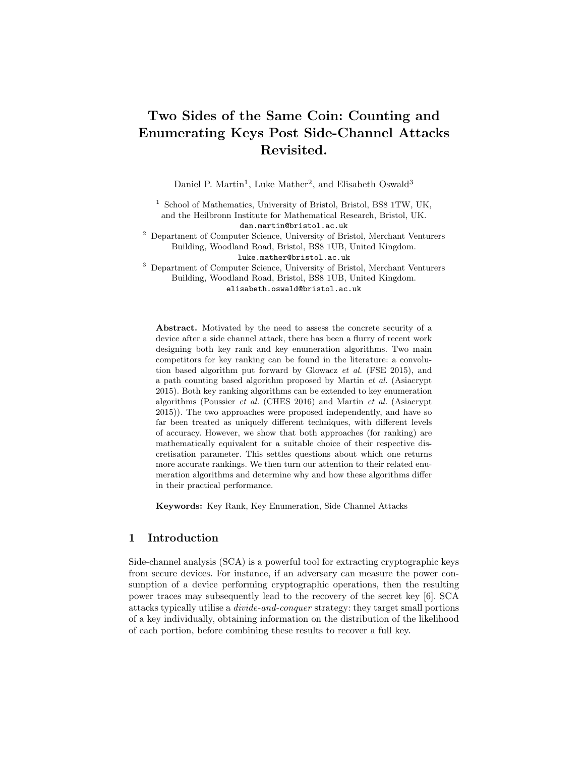# Two Sides of the Same Coin: Counting and Enumerating Keys Post Side-Channel Attacks Revisited.

Daniel P. Martin<sup>1</sup>, Luke Mather<sup>2</sup>, and Elisabeth Oswald<sup>3</sup>

<sup>1</sup> School of Mathematics, University of Bristol, Bristol, BS8 1TW, UK, and the Heilbronn Institute for Mathematical Research, Bristol, UK. dan.martin@bristol.ac.uk

 $^{\rm 2}$  Department of Computer Science, University of Bristol, Merchant Venturers Building, Woodland Road, Bristol, BS8 1UB, United Kingdom. luke.mather@bristol.ac.uk

<sup>3</sup> Department of Computer Science, University of Bristol, Merchant Venturers Building, Woodland Road, Bristol, BS8 1UB, United Kingdom. elisabeth.oswald@bristol.ac.uk

Abstract. Motivated by the need to assess the concrete security of a device after a side channel attack, there has been a flurry of recent work designing both key rank and key enumeration algorithms. Two main competitors for key ranking can be found in the literature: a convolution based algorithm put forward by Glowacz et al. (FSE 2015), and a path counting based algorithm proposed by Martin et al. (Asiacrypt 2015). Both key ranking algorithms can be extended to key enumeration algorithms (Poussier et al. (CHES 2016) and Martin et al. (Asiacrypt 2015)). The two approaches were proposed independently, and have so far been treated as uniquely different techniques, with different levels of accuracy. However, we show that both approaches (for ranking) are mathematically equivalent for a suitable choice of their respective discretisation parameter. This settles questions about which one returns more accurate rankings. We then turn our attention to their related enumeration algorithms and determine why and how these algorithms differ in their practical performance.

Keywords: Key Rank, Key Enumeration, Side Channel Attacks

## 1 Introduction

Side-channel analysis (SCA) is a powerful tool for extracting cryptographic keys from secure devices. For instance, if an adversary can measure the power consumption of a device performing cryptographic operations, then the resulting power traces may subsequently lead to the recovery of the secret key [6]. SCA attacks typically utilise a divide-and-conquer strategy: they target small portions of a key individually, obtaining information on the distribution of the likelihood of each portion, before combining these results to recover a full key.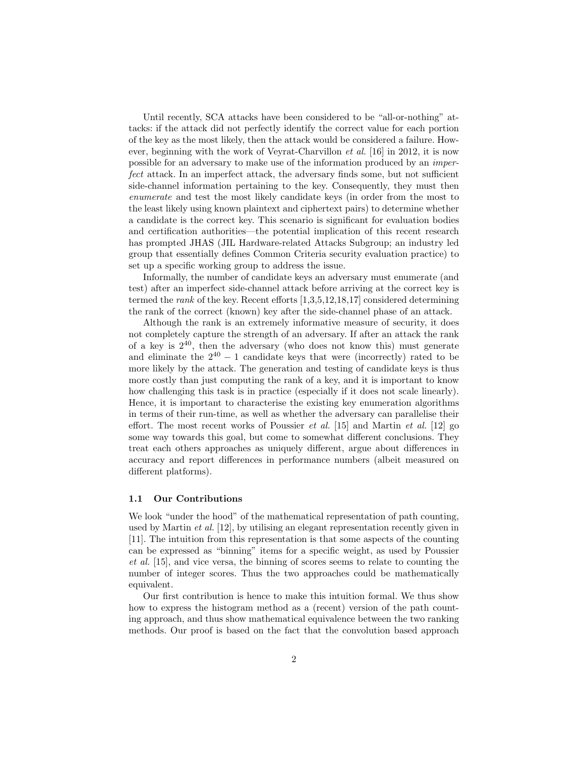Until recently, SCA attacks have been considered to be "all-or-nothing" attacks: if the attack did not perfectly identify the correct value for each portion of the key as the most likely, then the attack would be considered a failure. However, beginning with the work of Veyrat-Charvillon et al. [16] in 2012, it is now possible for an adversary to make use of the information produced by an imperfect attack. In an imperfect attack, the adversary finds some, but not sufficient side-channel information pertaining to the key. Consequently, they must then enumerate and test the most likely candidate keys (in order from the most to the least likely using known plaintext and ciphertext pairs) to determine whether a candidate is the correct key. This scenario is significant for evaluation bodies and certification authorities—the potential implication of this recent research has prompted JHAS (JIL Hardware-related Attacks Subgroup; an industry led group that essentially defines Common Criteria security evaluation practice) to set up a specific working group to address the issue.

Informally, the number of candidate keys an adversary must enumerate (and test) after an imperfect side-channel attack before arriving at the correct key is termed the rank of the key. Recent efforts [1,3,5,12,18,17] considered determining the rank of the correct (known) key after the side-channel phase of an attack.

Although the rank is an extremely informative measure of security, it does not completely capture the strength of an adversary. If after an attack the rank of a key is  $2^{40}$ , then the adversary (who does not know this) must generate and eliminate the  $2^{40} - 1$  candidate keys that were (incorrectly) rated to be more likely by the attack. The generation and testing of candidate keys is thus more costly than just computing the rank of a key, and it is important to know how challenging this task is in practice (especially if it does not scale linearly). Hence, it is important to characterise the existing key enumeration algorithms in terms of their run-time, as well as whether the adversary can parallelise their effort. The most recent works of Poussier *et al.* [15] and Martin *et al.* [12] go some way towards this goal, but come to somewhat different conclusions. They treat each others approaches as uniquely different, argue about differences in accuracy and report differences in performance numbers (albeit measured on different platforms).

#### 1.1 Our Contributions

We look "under the hood" of the mathematical representation of path counting, used by Martin et al. [12], by utilising an elegant representation recently given in [11]. The intuition from this representation is that some aspects of the counting can be expressed as "binning" items for a specific weight, as used by Poussier et al. [15], and vice versa, the binning of scores seems to relate to counting the number of integer scores. Thus the two approaches could be mathematically equivalent.

Our first contribution is hence to make this intuition formal. We thus show how to express the histogram method as a (recent) version of the path counting approach, and thus show mathematical equivalence between the two ranking methods. Our proof is based on the fact that the convolution based approach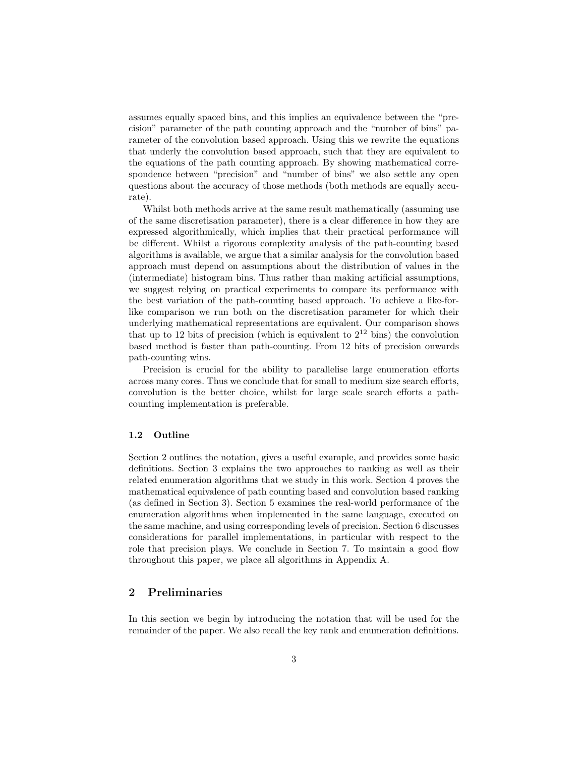assumes equally spaced bins, and this implies an equivalence between the "precision" parameter of the path counting approach and the "number of bins" parameter of the convolution based approach. Using this we rewrite the equations that underly the convolution based approach, such that they are equivalent to the equations of the path counting approach. By showing mathematical correspondence between "precision" and "number of bins" we also settle any open questions about the accuracy of those methods (both methods are equally accurate).

Whilst both methods arrive at the same result mathematically (assuming use of the same discretisation parameter), there is a clear difference in how they are expressed algorithmically, which implies that their practical performance will be different. Whilst a rigorous complexity analysis of the path-counting based algorithms is available, we argue that a similar analysis for the convolution based approach must depend on assumptions about the distribution of values in the (intermediate) histogram bins. Thus rather than making artificial assumptions, we suggest relying on practical experiments to compare its performance with the best variation of the path-counting based approach. To achieve a like-forlike comparison we run both on the discretisation parameter for which their underlying mathematical representations are equivalent. Our comparison shows that up to 12 bits of precision (which is equivalent to  $2^{12}$  bins) the convolution based method is faster than path-counting. From 12 bits of precision onwards path-counting wins.

Precision is crucial for the ability to parallelise large enumeration efforts across many cores. Thus we conclude that for small to medium size search efforts, convolution is the better choice, whilst for large scale search efforts a pathcounting implementation is preferable.

### 1.2 Outline

Section 2 outlines the notation, gives a useful example, and provides some basic definitions. Section 3 explains the two approaches to ranking as well as their related enumeration algorithms that we study in this work. Section 4 proves the mathematical equivalence of path counting based and convolution based ranking (as defined in Section 3). Section 5 examines the real-world performance of the enumeration algorithms when implemented in the same language, executed on the same machine, and using corresponding levels of precision. Section 6 discusses considerations for parallel implementations, in particular with respect to the role that precision plays. We conclude in Section 7. To maintain a good flow throughout this paper, we place all algorithms in Appendix A.

### 2 Preliminaries

In this section we begin by introducing the notation that will be used for the remainder of the paper. We also recall the key rank and enumeration definitions.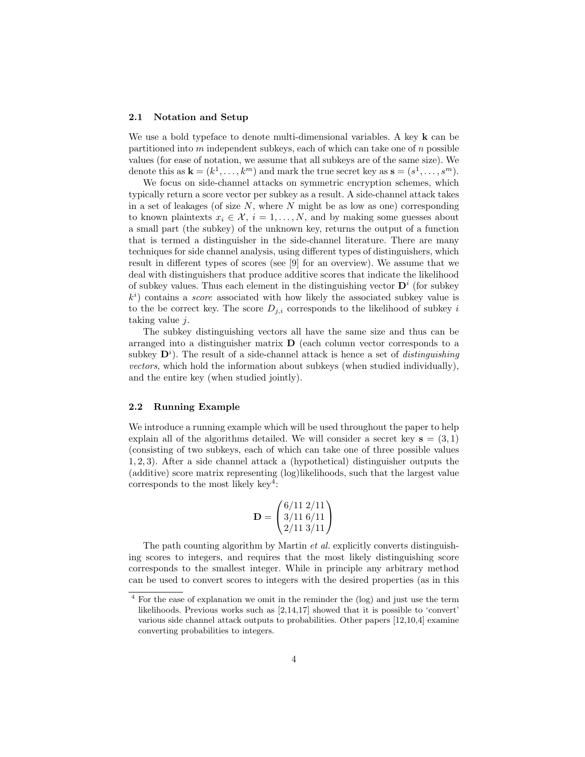#### 2.1 Notation and Setup

We use a bold typeface to denote multi-dimensional variables. A key  $k$  can be partitioned into  $m$  independent subkeys, each of which can take one of  $n$  possible values (for ease of notation, we assume that all subkeys are of the same size). We denote this as  $\mathbf{k} = (k^1, \dots, k^m)$  and mark the true secret key as  $\mathbf{s} = (s^1, \dots, s^m)$ .

We focus on side-channel attacks on symmetric encryption schemes, which typically return a score vector per subkey as a result. A side-channel attack takes in a set of leakages (of size  $N$ , where  $N$  might be as low as one) corresponding to known plaintexts  $x_i \in \mathcal{X}, i = 1, \ldots, N$ , and by making some guesses about a small part (the subkey) of the unknown key, returns the output of a function that is termed a distinguisher in the side-channel literature. There are many techniques for side channel analysis, using different types of distinguishers, which result in different types of scores (see [9] for an overview). We assume that we deal with distinguishers that produce additive scores that indicate the likelihood of subkey values. Thus each element in the distinguishing vector  $\mathbf{D}^i$  (for subkey  $k^i$ ) contains a *score* associated with how likely the associated subkey value is to the be correct key. The score  $D_{j,i}$  corresponds to the likelihood of subkey i taking value j.

The subkey distinguishing vectors all have the same size and thus can be arranged into a distinguisher matrix D (each column vector corresponds to a subkey  $\mathbf{D}^i$ ). The result of a side-channel attack is hence a set of *distinguishing* vectors, which hold the information about subkeys (when studied individually), and the entire key (when studied jointly).

### 2.2 Running Example

We introduce a running example which will be used throughout the paper to help explain all of the algorithms detailed. We will consider a secret key  $s = (3, 1)$ (consisting of two subkeys, each of which can take one of three possible values 1, 2, 3). After a side channel attack a (hypothetical) distinguisher outputs the (additive) score matrix representing (log)likelihoods, such that the largest value corresponds to the most likely  $key^4$ :

$$
\mathbf{D} = \begin{pmatrix} 6/11 & 2/11 \\ 3/11 & 6/11 \\ 2/11 & 3/11 \end{pmatrix}
$$

The path counting algorithm by Martin et al. explicitly converts distinguishing scores to integers, and requires that the most likely distinguishing score corresponds to the smallest integer. While in principle any arbitrary method can be used to convert scores to integers with the desired properties (as in this

<sup>4</sup> For the ease of explanation we omit in the reminder the (log) and just use the term likelihoods. Previous works such as [2,14,17] showed that it is possible to 'convert' various side channel attack outputs to probabilities. Other papers [12,10,4] examine converting probabilities to integers.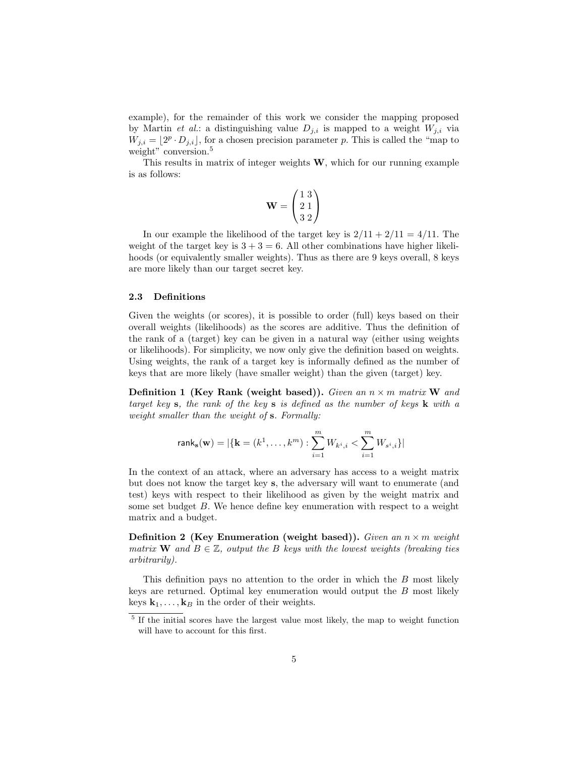example), for the remainder of this work we consider the mapping proposed by Martin *et al.*: a distinguishing value  $D_{j,i}$  is mapped to a weight  $W_{j,i}$  via  $W_{j,i} = \lfloor 2^p \cdot D_{j,i} \rfloor$ , for a chosen precision parameter p. This is called the "map to weight" conversion.<sup>5</sup>

This results in matrix of integer weights  $W$ , which for our running example is as follows:

$$
\mathbf{W} = \begin{pmatrix} 1 & 3 \\ 2 & 1 \\ 3 & 2 \end{pmatrix}
$$

In our example the likelihood of the target key is  $2/11 + 2/11 = 4/11$ . The weight of the target key is  $3 + 3 = 6$ . All other combinations have higher likelihoods (or equivalently smaller weights). Thus as there are 9 keys overall, 8 keys are more likely than our target secret key.

#### 2.3 Definitions

Given the weights (or scores), it is possible to order (full) keys based on their overall weights (likelihoods) as the scores are additive. Thus the definition of the rank of a (target) key can be given in a natural way (either using weights or likelihoods). For simplicity, we now only give the definition based on weights. Using weights, the rank of a target key is informally defined as the number of keys that are more likely (have smaller weight) than the given (target) key.

**Definition 1 (Key Rank (weight based)).** Given an  $n \times m$  matrix W and target key s, the rank of the key s is defined as the number of keys k with a weight smaller than the weight of s. Formally:

$$
\text{rank}_{\mathbf{s}}(\mathbf{w}) = |\{\mathbf{k} = (k^1, \dots, k^m): \sum_{i=1}^m W_{k^i, i} < \sum_{i=1}^m W_{s^i, i}\}|
$$

In the context of an attack, where an adversary has access to a weight matrix but does not know the target key s, the adversary will want to enumerate (and test) keys with respect to their likelihood as given by the weight matrix and some set budget B. We hence define key enumeration with respect to a weight matrix and a budget.

**Definition 2 (Key Enumeration (weight based)).** Given an  $n \times m$  weight matrix W and  $B \in \mathbb{Z}$ , output the B keys with the lowest weights (breaking ties arbitrarily).

This definition pays no attention to the order in which the B most likely keys are returned. Optimal key enumeration would output the B most likely keys  $\mathbf{k}_1, \ldots, \mathbf{k}_B$  in the order of their weights.

<sup>&</sup>lt;sup>5</sup> If the initial scores have the largest value most likely, the map to weight function will have to account for this first.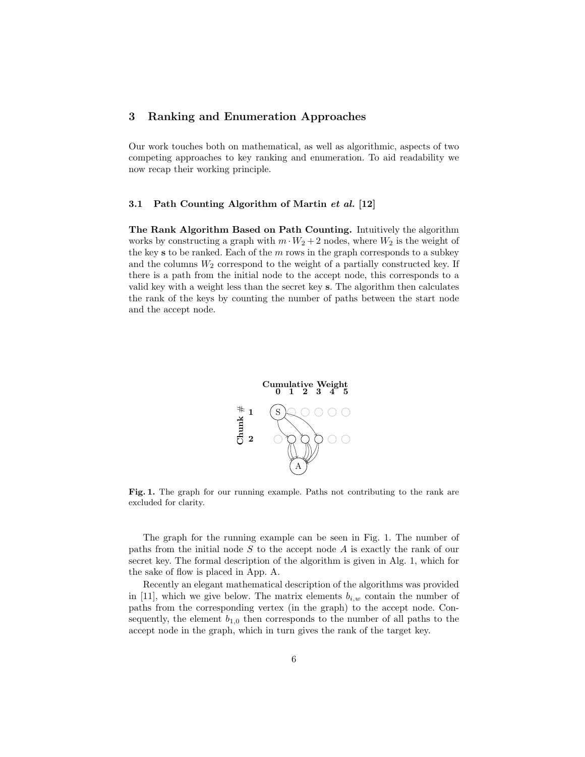### 3 Ranking and Enumeration Approaches

Our work touches both on mathematical, as well as algorithmic, aspects of two competing approaches to key ranking and enumeration. To aid readability we now recap their working principle.

### 3.1 Path Counting Algorithm of Martin et al. [12]

The Rank Algorithm Based on Path Counting. Intuitively the algorithm works by constructing a graph with  $m \cdot W_2 + 2$  nodes, where  $W_2$  is the weight of the key  $s$  to be ranked. Each of the  $m$  rows in the graph corresponds to a subkey and the columns  $W_2$  correspond to the weight of a partially constructed key. If there is a path from the initial node to the accept node, this corresponds to a valid key with a weight less than the secret key s. The algorithm then calculates the rank of the keys by counting the number of paths between the start node and the accept node.



Fig. 1. The graph for our running example. Paths not contributing to the rank are excluded for clarity.

The graph for the running example can be seen in Fig. 1. The number of paths from the initial node  $S$  to the accept node  $A$  is exactly the rank of our secret key. The formal description of the algorithm is given in Alg. 1, which for the sake of flow is placed in App. A.

Recently an elegant mathematical description of the algorithms was provided in [11], which we give below. The matrix elements  $b_{i,w}$  contain the number of paths from the corresponding vertex (in the graph) to the accept node. Consequently, the element  $b_{1,0}$  then corresponds to the number of all paths to the accept node in the graph, which in turn gives the rank of the target key.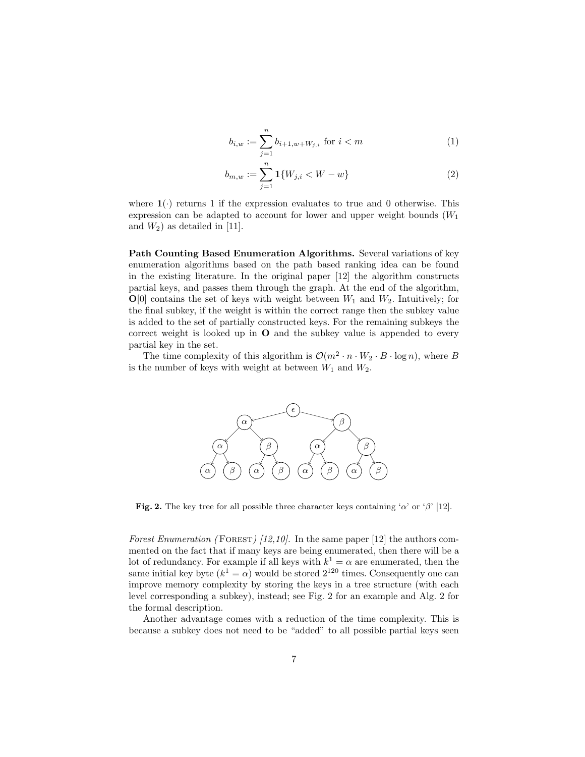$$
b_{i,w} := \sum_{j=1}^{n} b_{i+1,w+W_{j,i}} \text{ for } i < m \tag{1}
$$

$$
b_{m,w} := \sum_{j=1}^{n} \mathbf{1}\{W_{j,i} < W - w\} \tag{2}
$$

where  $\mathbf{1}(\cdot)$  returns 1 if the expression evaluates to true and 0 otherwise. This expression can be adapted to account for lower and upper weight bounds  $(W_1)$ and  $W_2$ ) as detailed in [11].

Path Counting Based Enumeration Algorithms. Several variations of key enumeration algorithms based on the path based ranking idea can be found in the existing literature. In the original paper [12] the algorithm constructs partial keys, and passes them through the graph. At the end of the algorithm,  $O[0]$  contains the set of keys with weight between  $W_1$  and  $W_2$ . Intuitively; for the final subkey, if the weight is within the correct range then the subkey value is added to the set of partially constructed keys. For the remaining subkeys the correct weight is looked up in  $O$  and the subkey value is appended to every partial key in the set.

The time complexity of this algorithm is  $\mathcal{O}(m^2 \cdot n \cdot W_2 \cdot B \cdot \log n)$ , where B is the number of keys with weight at between  $W_1$  and  $W_2$ .



Fig. 2. The key tree for all possible three character keys containing ' $\alpha$ ' or ' $\beta$ ' [12].

Forest Enumeration (FOREST) [12,10]. In the same paper [12] the authors commented on the fact that if many keys are being enumerated, then there will be a lot of redundancy. For example if all keys with  $k^1 = \alpha$  are enumerated, then the same initial key byte  $(k^1 = \alpha)$  would be stored  $2^{120}$  times. Consequently one can improve memory complexity by storing the keys in a tree structure (with each level corresponding a subkey), instead; see Fig. 2 for an example and Alg. 2 for the formal description.

Another advantage comes with a reduction of the time complexity. This is because a subkey does not need to be "added" to all possible partial keys seen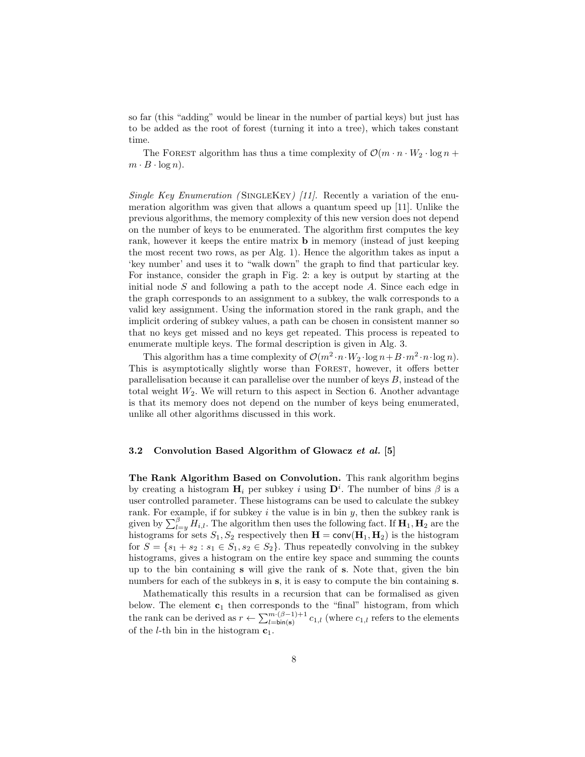so far (this "adding" would be linear in the number of partial keys) but just has to be added as the root of forest (turning it into a tree), which takes constant time.

The FOREST algorithm has thus a time complexity of  $\mathcal{O}(m \cdot n \cdot W_2 \cdot \log n +$  $m \cdot B \cdot \log n$ ).

Single Key Enumeration (SINGLEKEY) [11]. Recently a variation of the enumeration algorithm was given that allows a quantum speed up [11]. Unlike the previous algorithms, the memory complexity of this new version does not depend on the number of keys to be enumerated. The algorithm first computes the key rank, however it keeps the entire matrix b in memory (instead of just keeping the most recent two rows, as per Alg. 1). Hence the algorithm takes as input a 'key number' and uses it to "walk down" the graph to find that particular key. For instance, consider the graph in Fig. 2: a key is output by starting at the initial node  $S$  and following a path to the accept node  $A$ . Since each edge in the graph corresponds to an assignment to a subkey, the walk corresponds to a valid key assignment. Using the information stored in the rank graph, and the implicit ordering of subkey values, a path can be chosen in consistent manner so that no keys get missed and no keys get repeated. This process is repeated to enumerate multiple keys. The formal description is given in Alg. 3.

This algorithm has a time complexity of  $\mathcal{O}(m^2 \cdot n \cdot W_2 \cdot \log n + B \cdot m^2 \cdot n \cdot \log n)$ . This is asymptotically slightly worse than Forest, however, it offers better parallelisation because it can parallelise over the number of keys B, instead of the total weight  $W_2$ . We will return to this aspect in Section 6. Another advantage is that its memory does not depend on the number of keys being enumerated, unlike all other algorithms discussed in this work.

### 3.2 Convolution Based Algorithm of Glowacz et al. [5]

The Rank Algorithm Based on Convolution. This rank algorithm begins by creating a histogram  $H_i$  per subkey i using  $D^i$ . The number of bins  $\beta$  is a user controlled parameter. These histograms can be used to calculate the subkey rank. For example, if for subkey  $i$  the value is in bin  $y$ , then the subkey rank is given by  $\sum_{l=y}^{\beta} H_{i,l}$ . The algorithm then uses the following fact. If  $\mathbf{H}_1, \mathbf{H}_2$  are the histograms for sets  $S_1, S_2$  respectively then  $\mathbf{H} = \text{conv}(\mathbf{H}_1, \mathbf{H}_2)$  is the histogram for  $S = \{s_1 + s_2 : s_1 \in S_1, s_2 \in S_2\}$ . Thus repeatedly convolving in the subkey histograms, gives a histogram on the entire key space and summing the counts up to the bin containing s will give the rank of s. Note that, given the bin numbers for each of the subkeys in s, it is easy to compute the bin containing s.

Mathematically this results in a recursion that can be formalised as given below. The element  $c_1$  then corresponds to the "final" histogram, from which the rank can be derived as  $r \leftarrow \sum_{l=\text{bin(s)}}^{m \cdot (\beta-1)+1} c_{1,l}$  (where  $c_{1,l}$  refers to the elements of the *l*-th bin in the histogram  $c_1$ .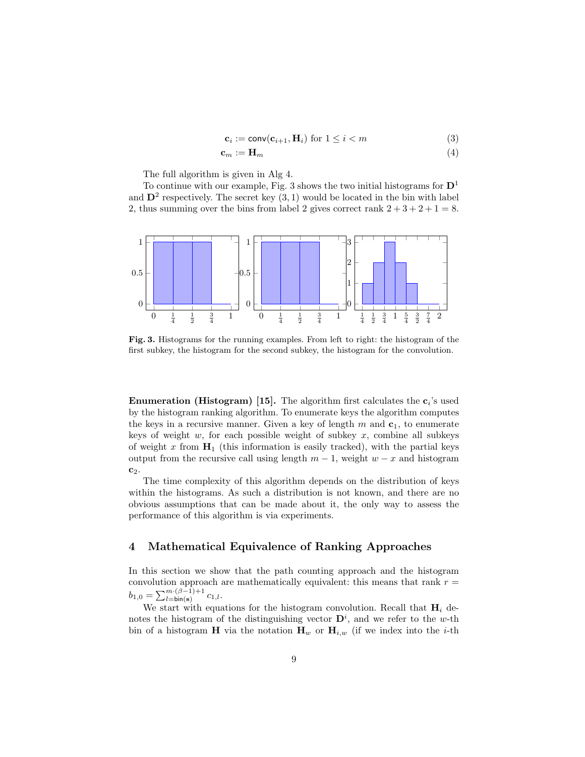$$
\mathbf{c}_{i} := \text{conv}(\mathbf{c}_{i+1}, \mathbf{H}_{i}) \text{ for } 1 \le i < m \tag{3}
$$
\n
$$
\mathbf{c}_{m} := \mathbf{H}_{m} \tag{4}
$$

The full algorithm is given in Alg 4.

To continue with our example, Fig. 3 shows the two initial histograms for  $\mathbf{D}^1$ and  $\mathbf{D}^2$  respectively. The secret key  $(3,1)$  would be located in the bin with label 2, thus summing over the bins from label 2 gives correct rank  $2 + 3 + 2 + 1 = 8$ .



Fig. 3. Histograms for the running examples. From left to right: the histogram of the first subkey, the histogram for the second subkey, the histogram for the convolution.

**Enumeration (Histogram)** [15]. The algorithm first calculates the  $c_i$ 's used by the histogram ranking algorithm. To enumerate keys the algorithm computes the keys in a recursive manner. Given a key of length  $m$  and  $c_1$ , to enumerate keys of weight  $w$ , for each possible weight of subkey  $x$ , combine all subkeys of weight x from  $H_1$  (this information is easily tracked), with the partial keys output from the recursive call using length  $m-1$ , weight  $w-x$  and histogram  $c_2$ .

The time complexity of this algorithm depends on the distribution of keys within the histograms. As such a distribution is not known, and there are no obvious assumptions that can be made about it, the only way to assess the performance of this algorithm is via experiments.

### 4 Mathematical Equivalence of Ranking Approaches

In this section we show that the path counting approach and the histogram convolution approach are mathematically equivalent: this means that rank  $r =$  $b_{1,0} = \sum_{l=\text{bin(s)}}^{m \cdot (\beta-1)+1} c_{1,l}.$ 

We start with equations for the histogram convolution. Recall that  $H_i$  denotes the histogram of the distinguishing vector  $\mathbf{D}^i$ , and we refer to the w-th bin of a histogram H via the notation  $H_w$  or  $H_{i,w}$  (if we index into the *i*-th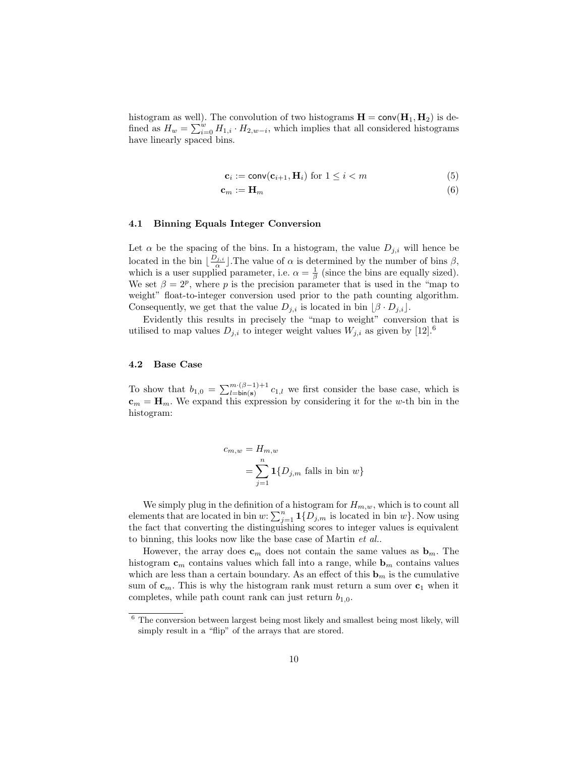histogram as well). The convolution of two histograms  $\mathbf{H} = \text{conv}(\mathbf{H}_1, \mathbf{H}_2)$  is defined as  $H_w = \sum_{i=0}^{w} H_{1,i} \cdot H_{2,w-i}$ , which implies that all considered histograms have linearly spaced bins.

$$
\mathbf{c}_i := \text{conv}(\mathbf{c}_{i+1}, \mathbf{H}_i) \text{ for } 1 \le i < m \tag{5}
$$

$$
\mathbf{c}_m := \mathbf{H}_m \tag{6}
$$

### 4.1 Binning Equals Integer Conversion

Let  $\alpha$  be the spacing of the bins. In a histogram, the value  $D_{i,i}$  will hence be located in the bin  $\lfloor \frac{D_{j,i}}{\alpha} \rfloor$ . The value of  $\alpha$  is determined by the number of bins  $\beta$ , which is a user supplied parameter, i.e.  $\alpha = \frac{1}{\beta}$  (since the bins are equally sized). We set  $\beta = 2^p$ , where p is the precision parameter that is used in the "map to weight" float-to-integer conversion used prior to the path counting algorithm. Consequently, we get that the value  $D_{j,i}$  is located in bin  $\lfloor \beta \cdot D_{j,i} \rfloor$ .

Evidently this results in precisely the "map to weight" conversion that is utilised to map values  $D_{j,i}$  to integer weight values  $W_{j,i}$  as given by [12].<sup>6</sup>

#### 4.2 Base Case

To show that  $b_{1,0} = \sum_{l=\text{bin(s)}}^{m \cdot (\beta-1)+1} c_{1,l}$  we first consider the base case, which is  $\mathbf{c}_m = \mathbf{H}_m$ . We expand this expression by considering it for the w-th bin in the histogram:

$$
c_{m,w} = H_{m,w}
$$
  
= 
$$
\sum_{j=1}^{n} \mathbf{1} \{ D_{j,m} \text{ falls in bin } w \}
$$

We simply plug in the definition of a histogram for  $H_{m,w}$ , which is to count all elements that are located in bin w:  $\sum_{j=1}^{n} \mathbf{1}{D_{j,m}}$  is located in bin w}. Now using the fact that converting the distinguishing scores to integer values is equivalent to binning, this looks now like the base case of Martin et al..

However, the array does  $\mathbf{c}_m$  does not contain the same values as  $\mathbf{b}_m$ . The histogram  $c_m$  contains values which fall into a range, while  $b_m$  contains values which are less than a certain boundary. As an effect of this  $\mathbf{b}_m$  is the cumulative sum of  $\mathbf{c}_m$ . This is why the histogram rank must return a sum over  $\mathbf{c}_1$  when it completes, while path count rank can just return  $b_{1,0}$ .

 $^6$  The conversion between largest being most likely and smallest being most likely, will simply result in a "flip" of the arrays that are stored.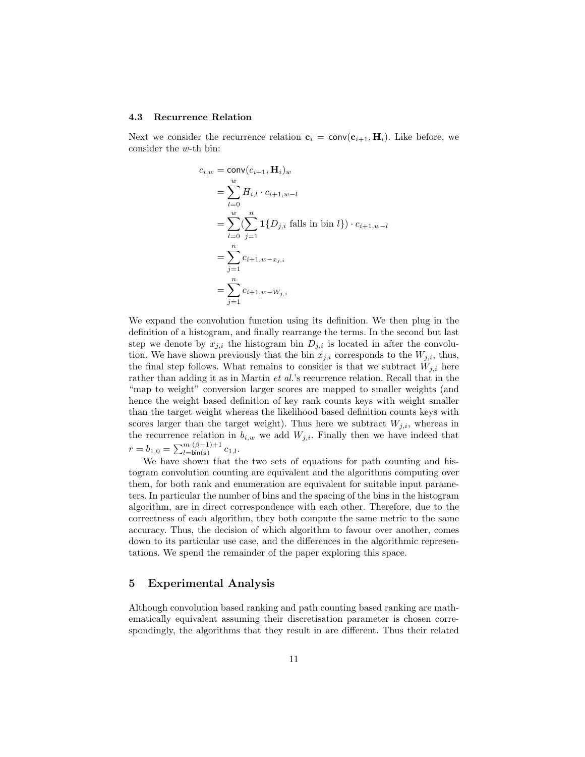#### 4.3 Recurrence Relation

Next we consider the recurrence relation  $\mathbf{c}_i = \text{conv}(\mathbf{c}_{i+1}, \mathbf{H}_i)$ . Like before, we consider the w-th bin:

$$
c_{i,w} = \text{conv}(c_{i+1}, \mathbf{H}_i)_w
$$
  
=  $\sum_{l=0}^{w} H_{i,l} \cdot c_{i+1,w-l}$   
=  $\sum_{l=0}^{w} (\sum_{j=1}^{n} \mathbf{1} \{D_{j,i} \text{ falls in bin } l\}) \cdot c_{i+1,w-l}$   
=  $\sum_{j=1}^{n} c_{i+1,w-x_{j,i}}$   
=  $\sum_{j=1}^{n} c_{i+1,w-W_{j,i}}$ 

We expand the convolution function using its definition. We then plug in the definition of a histogram, and finally rearrange the terms. In the second but last step we denote by  $x_{j,i}$  the histogram bin  $D_{j,i}$  is located in after the convolution. We have shown previously that the bin  $x_{j,i}$  corresponds to the  $W_{j,i}$ , thus, the final step follows. What remains to consider is that we subtract  $W_{i,i}$  here rather than adding it as in Martin et al.'s recurrence relation. Recall that in the "map to weight" conversion larger scores are mapped to smaller weights (and hence the weight based definition of key rank counts keys with weight smaller than the target weight whereas the likelihood based definition counts keys with scores larger than the target weight). Thus here we subtract  $W_{j,i}$ , whereas in the recurrence relation in  $b_{i,w}$  we add  $W_{j,i}$ . Finally then we have indeed that  $r = b_{1,0} = \sum_{l=\text{bin(s)}}^{m \cdot (\beta-1)+1} c_{1,l}.$ 

We have shown that the two sets of equations for path counting and histogram convolution counting are equivalent and the algorithms computing over them, for both rank and enumeration are equivalent for suitable input parameters. In particular the number of bins and the spacing of the bins in the histogram algorithm, are in direct correspondence with each other. Therefore, due to the correctness of each algorithm, they both compute the same metric to the same accuracy. Thus, the decision of which algorithm to favour over another, comes down to its particular use case, and the differences in the algorithmic representations. We spend the remainder of the paper exploring this space.

### 5 Experimental Analysis

Although convolution based ranking and path counting based ranking are mathematically equivalent assuming their discretisation parameter is chosen correspondingly, the algorithms that they result in are different. Thus their related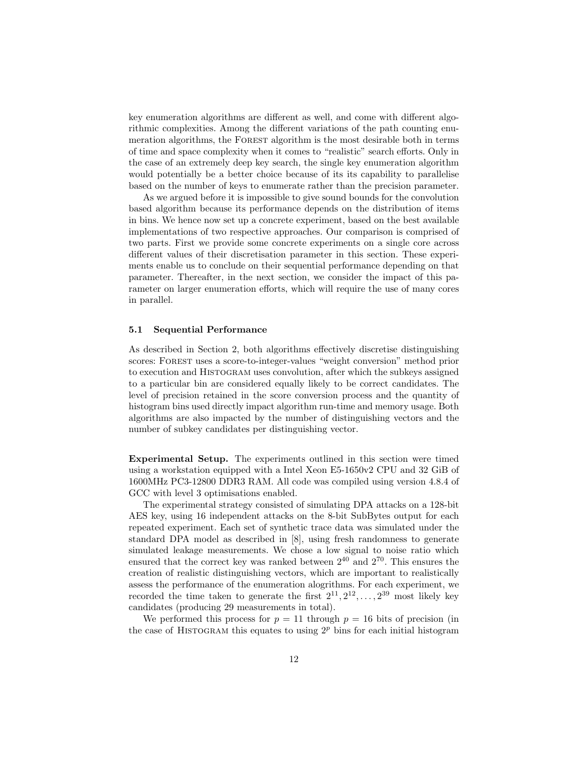key enumeration algorithms are different as well, and come with different algorithmic complexities. Among the different variations of the path counting enumeration algorithms, the FOREST algorithm is the most desirable both in terms of time and space complexity when it comes to "realistic" search efforts. Only in the case of an extremely deep key search, the single key enumeration algorithm would potentially be a better choice because of its its capability to parallelise based on the number of keys to enumerate rather than the precision parameter.

As we argued before it is impossible to give sound bounds for the convolution based algorithm because its performance depends on the distribution of items in bins. We hence now set up a concrete experiment, based on the best available implementations of two respective approaches. Our comparison is comprised of two parts. First we provide some concrete experiments on a single core across different values of their discretisation parameter in this section. These experiments enable us to conclude on their sequential performance depending on that parameter. Thereafter, in the next section, we consider the impact of this parameter on larger enumeration efforts, which will require the use of many cores in parallel.

### 5.1 Sequential Performance

As described in Section 2, both algorithms effectively discretise distinguishing scores: Forest uses a score-to-integer-values "weight conversion" method prior to execution and Histogram uses convolution, after which the subkeys assigned to a particular bin are considered equally likely to be correct candidates. The level of precision retained in the score conversion process and the quantity of histogram bins used directly impact algorithm run-time and memory usage. Both algorithms are also impacted by the number of distinguishing vectors and the number of subkey candidates per distinguishing vector.

Experimental Setup. The experiments outlined in this section were timed using a workstation equipped with a Intel Xeon E5-1650v2 CPU and 32 GiB of 1600MHz PC3-12800 DDR3 RAM. All code was compiled using version 4.8.4 of GCC with level 3 optimisations enabled.

The experimental strategy consisted of simulating DPA attacks on a 128-bit AES key, using 16 independent attacks on the 8-bit SubBytes output for each repeated experiment. Each set of synthetic trace data was simulated under the standard DPA model as described in [8], using fresh randomness to generate simulated leakage measurements. We chose a low signal to noise ratio which ensured that the correct key was ranked between  $2^{40}$  and  $2^{70}$ . This ensures the creation of realistic distinguishing vectors, which are important to realistically assess the performance of the enumeration alogrithms. For each experiment, we recorded the time taken to generate the first  $2^{11}, 2^{12}, \ldots, 2^{39}$  most likely key candidates (producing 29 measurements in total).

We performed this process for  $p = 11$  through  $p = 16$  bits of precision (in the case of HISTOGRAM this equates to using  $2^p$  bins for each initial histogram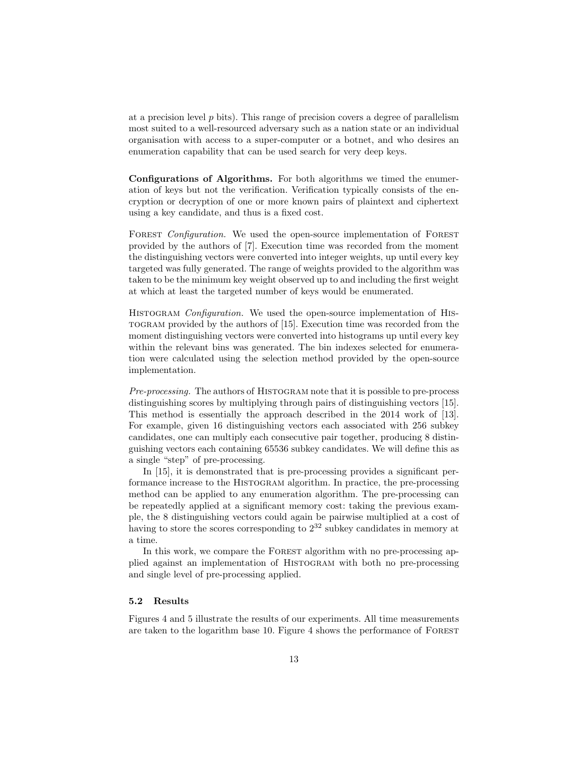at a precision level  $p$  bits). This range of precision covers a degree of parallelism most suited to a well-resourced adversary such as a nation state or an individual organisation with access to a super-computer or a botnet, and who desires an enumeration capability that can be used search for very deep keys.

Configurations of Algorithms. For both algorithms we timed the enumeration of keys but not the verification. Verification typically consists of the encryption or decryption of one or more known pairs of plaintext and ciphertext using a key candidate, and thus is a fixed cost.

FOREST Configuration. We used the open-source implementation of FOREST provided by the authors of [7]. Execution time was recorded from the moment the distinguishing vectors were converted into integer weights, up until every key targeted was fully generated. The range of weights provided to the algorithm was taken to be the minimum key weight observed up to and including the first weight at which at least the targeted number of keys would be enumerated.

Histogram Configuration. We used the open-source implementation of Histogram provided by the authors of [15]. Execution time was recorded from the moment distinguishing vectors were converted into histograms up until every key within the relevant bins was generated. The bin indexes selected for enumeration were calculated using the selection method provided by the open-source implementation.

Pre-processing. The authors of HISTOGRAM note that it is possible to pre-process distinguishing scores by multiplying through pairs of distinguishing vectors [15]. This method is essentially the approach described in the 2014 work of [13]. For example, given 16 distinguishing vectors each associated with 256 subkey candidates, one can multiply each consecutive pair together, producing 8 distinguishing vectors each containing 65536 subkey candidates. We will define this as a single "step" of pre-processing.

In [15], it is demonstrated that is pre-processing provides a significant performance increase to the HISTOGRAM algorithm. In practice, the pre-processing method can be applied to any enumeration algorithm. The pre-processing can be repeatedly applied at a significant memory cost: taking the previous example, the 8 distinguishing vectors could again be pairwise multiplied at a cost of having to store the scores corresponding to  $2^{32}$  subkey candidates in memory at a time.

In this work, we compare the FOREST algorithm with no pre-processing applied against an implementation of Histogram with both no pre-processing and single level of pre-processing applied.

### 5.2 Results

Figures 4 and 5 illustrate the results of our experiments. All time measurements are taken to the logarithm base 10. Figure 4 shows the performance of Forest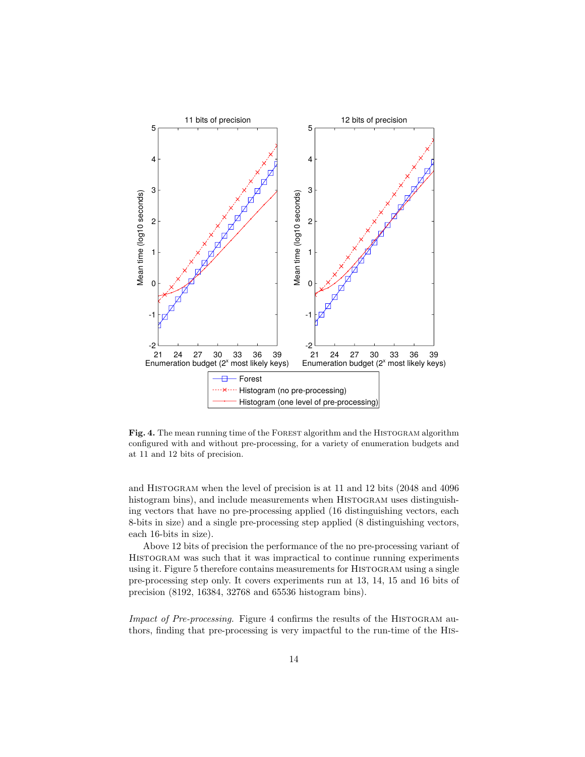

Fig. 4. The mean running time of the FOREST algorithm and the HISTOGRAM algorithm configured with and without pre-processing, for a variety of enumeration budgets and at 11 and 12 bits of precision.

and Histogram when the level of precision is at 11 and 12 bits (2048 and 4096 histogram bins), and include measurements when HISTOGRAM uses distinguishing vectors that have no pre-processing applied (16 distinguishing vectors, each 8-bits in size) and a single pre-processing step applied (8 distinguishing vectors, each 16-bits in size).

Above 12 bits of precision the performance of the no pre-processing variant of Histogram was such that it was impractical to continue running experiments using it. Figure 5 therefore contains measurements for HISTOGRAM using a single pre-processing step only. It covers experiments run at 13, 14, 15 and 16 bits of precision (8192, 16384, 32768 and 65536 histogram bins).

Impact of Pre-processing. Figure 4 confirms the results of the HISTOGRAM authors, finding that pre-processing is very impactful to the run-time of the His-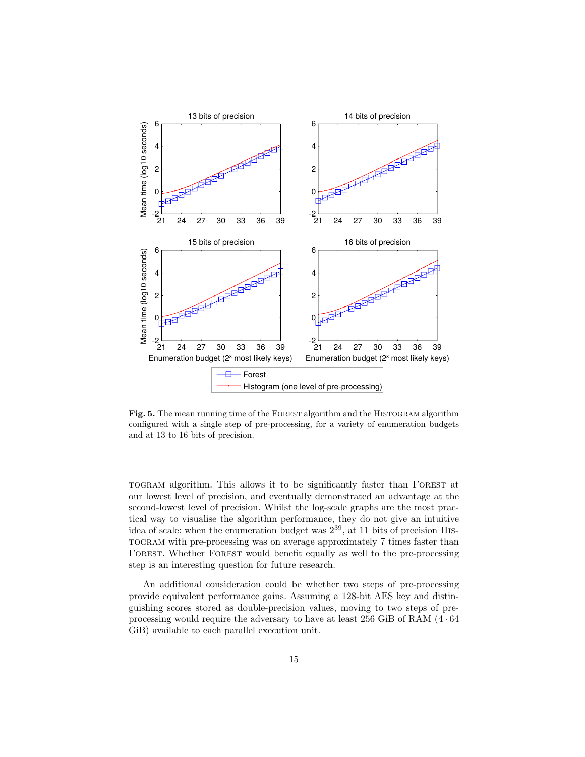

Fig. 5. The mean running time of the FOREST algorithm and the HISTOGRAM algorithm configured with a single step of pre-processing, for a variety of enumeration budgets and at 13 to 16 bits of precision.

togram algorithm. This allows it to be significantly faster than Forest at our lowest level of precision, and eventually demonstrated an advantage at the second-lowest level of precision. Whilst the log-scale graphs are the most practical way to visualise the algorithm performance, they do not give an intuitive idea of scale: when the enumeration budget was  $2^{39}$ , at 11 bits of precision Histogram with pre-processing was on average approximately 7 times faster than FOREST. Whether FOREST would benefit equally as well to the pre-processing step is an interesting question for future research.

An additional consideration could be whether two steps of pre-processing provide equivalent performance gains. Assuming a 128-bit AES key and distinguishing scores stored as double-precision values, moving to two steps of preprocessing would require the adversary to have at least  $256$  GiB of RAM  $(4 \cdot 64)$ GiB) available to each parallel execution unit.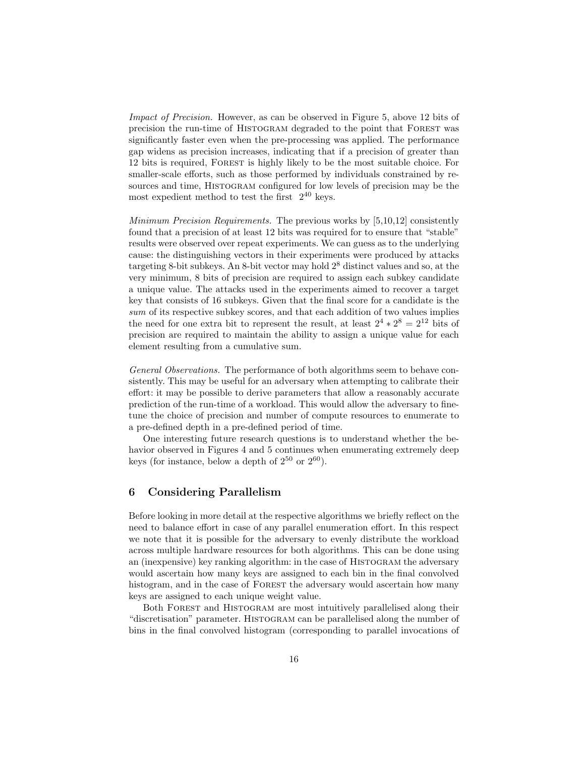Impact of Precision. However, as can be observed in Figure 5, above 12 bits of precision the run-time of Histogram degraded to the point that Forest was significantly faster even when the pre-processing was applied. The performance gap widens as precision increases, indicating that if a precision of greater than 12 bits is required, Forest is highly likely to be the most suitable choice. For smaller-scale efforts, such as those performed by individuals constrained by resources and time, HISTOGRAM configured for low levels of precision may be the most expedient method to test the first  $2^{40}$  keys.

Minimum Precision Requirements. The previous works by [5,10,12] consistently found that a precision of at least 12 bits was required for to ensure that "stable" results were observed over repeat experiments. We can guess as to the underlying cause: the distinguishing vectors in their experiments were produced by attacks targeting 8-bit subkeys. An 8-bit vector may hold  $2<sup>8</sup>$  distinct values and so, at the very minimum, 8 bits of precision are required to assign each subkey candidate a unique value. The attacks used in the experiments aimed to recover a target key that consists of 16 subkeys. Given that the final score for a candidate is the sum of its respective subkey scores, and that each addition of two values implies the need for one extra bit to represent the result, at least  $2^4 \times 2^8 = 2^{12}$  bits of precision are required to maintain the ability to assign a unique value for each element resulting from a cumulative sum.

General Observations. The performance of both algorithms seem to behave consistently. This may be useful for an adversary when attempting to calibrate their effort: it may be possible to derive parameters that allow a reasonably accurate prediction of the run-time of a workload. This would allow the adversary to finetune the choice of precision and number of compute resources to enumerate to a pre-defined depth in a pre-defined period of time.

One interesting future research questions is to understand whether the behavior observed in Figures 4 and 5 continues when enumerating extremely deep keys (for instance, below a depth of  $2^{50}$  or  $2^{60}$ ).

### 6 Considering Parallelism

Before looking in more detail at the respective algorithms we briefly reflect on the need to balance effort in case of any parallel enumeration effort. In this respect we note that it is possible for the adversary to evenly distribute the workload across multiple hardware resources for both algorithms. This can be done using an (inexpensive) key ranking algorithm: in the case of HISTOGRAM the adversary would ascertain how many keys are assigned to each bin in the final convolved histogram, and in the case of FOREST the adversary would ascertain how many keys are assigned to each unique weight value.

Both Forest and Histogram are most intuitively parallelised along their "discretisation" parameter. HISTOGRAM can be parallelised along the number of bins in the final convolved histogram (corresponding to parallel invocations of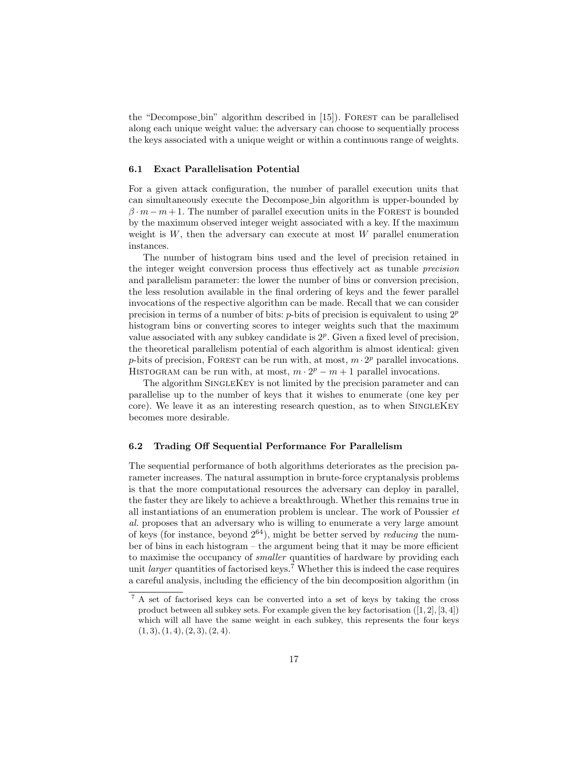the "Decompose bin" algorithm described in [15]). FOREST can be parallelised along each unique weight value: the adversary can choose to sequentially process the keys associated with a unique weight or within a continuous range of weights.

### 6.1 Exact Parallelisation Potential

For a given attack configuration, the number of parallel execution units that can simultaneously execute the Decompose bin algorithm is upper-bounded by  $\beta \cdot m - m + 1$ . The number of parallel execution units in the FOREST is bounded by the maximum observed integer weight associated with a key. If the maximum weight is  $W$ , then the adversary can execute at most  $W$  parallel enumeration instances.

The number of histogram bins used and the level of precision retained in the integer weight conversion process thus effectively act as tunable precision and parallelism parameter: the lower the number of bins or conversion precision, the less resolution available in the final ordering of keys and the fewer parallel invocations of the respective algorithm can be made. Recall that we can consider precision in terms of a number of bits:  $p$ -bits of precision is equivalent to using  $2^p$ histogram bins or converting scores to integer weights such that the maximum value associated with any subkey candidate is  $2<sup>p</sup>$ . Given a fixed level of precision, the theoretical parallelism potential of each algorithm is almost identical: given  $p$ -bits of precision, FOREST can be run with, at most,  $m \cdot 2^p$  parallel invocations. HISTOGRAM can be run with, at most,  $m \cdot 2^p - m + 1$  parallel invocations.

The algorithm SingleKey is not limited by the precision parameter and can parallelise up to the number of keys that it wishes to enumerate (one key per core). We leave it as an interesting research question, as to when SINGLEKEY becomes more desirable.

#### 6.2 Trading Off Sequential Performance For Parallelism

The sequential performance of both algorithms deteriorates as the precision parameter increases. The natural assumption in brute-force cryptanalysis problems is that the more computational resources the adversary can deploy in parallel, the faster they are likely to achieve a breakthrough. Whether this remains true in all instantiations of an enumeration problem is unclear. The work of Poussier et al. proposes that an adversary who is willing to enumerate a very large amount of keys (for instance, beyond  $2^{64}$ ), might be better served by *reducing* the number of bins in each histogram – the argument being that it may be more efficient to maximise the occupancy of smaller quantities of hardware by providing each unit *larger* quantities of factorised keys.<sup>7</sup> Whether this is indeed the case requires a careful analysis, including the efficiency of the bin decomposition algorithm (in

<sup>7</sup> A set of factorised keys can be converted into a set of keys by taking the cross product between all subkey sets. For example given the key factorisation  $([1, 2], [3, 4])$ which will all have the same weight in each subkey, this represents the four keys  $(1, 3), (1, 4), (2, 3), (2, 4).$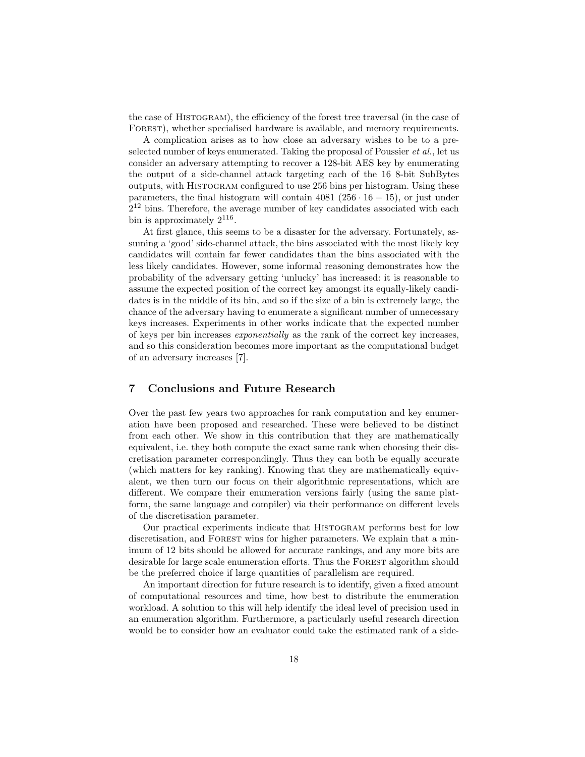the case of Histogram), the efficiency of the forest tree traversal (in the case of FOREST), whether specialised hardware is available, and memory requirements.

A complication arises as to how close an adversary wishes to be to a preselected number of keys enumerated. Taking the proposal of Poussier et al., let us consider an adversary attempting to recover a 128-bit AES key by enumerating the output of a side-channel attack targeting each of the 16 8-bit SubBytes outputs, with Histogram configured to use 256 bins per histogram. Using these parameters, the final histogram will contain  $4081$  ( $256 \cdot 16 - 15$ ), or just under  $2^{12}$  bins. Therefore, the average number of key candidates associated with each bin is approximately  $2^{116}$ .

At first glance, this seems to be a disaster for the adversary. Fortunately, assuming a 'good' side-channel attack, the bins associated with the most likely key candidates will contain far fewer candidates than the bins associated with the less likely candidates. However, some informal reasoning demonstrates how the probability of the adversary getting 'unlucky' has increased: it is reasonable to assume the expected position of the correct key amongst its equally-likely candidates is in the middle of its bin, and so if the size of a bin is extremely large, the chance of the adversary having to enumerate a significant number of unnecessary keys increases. Experiments in other works indicate that the expected number of keys per bin increases exponentially as the rank of the correct key increases, and so this consideration becomes more important as the computational budget of an adversary increases [7].

# 7 Conclusions and Future Research

Over the past few years two approaches for rank computation and key enumeration have been proposed and researched. These were believed to be distinct from each other. We show in this contribution that they are mathematically equivalent, i.e. they both compute the exact same rank when choosing their discretisation parameter correspondingly. Thus they can both be equally accurate (which matters for key ranking). Knowing that they are mathematically equivalent, we then turn our focus on their algorithmic representations, which are different. We compare their enumeration versions fairly (using the same platform, the same language and compiler) via their performance on different levels of the discretisation parameter.

Our practical experiments indicate that Histogram performs best for low discretisation, and Forest wins for higher parameters. We explain that a minimum of 12 bits should be allowed for accurate rankings, and any more bits are desirable for large scale enumeration efforts. Thus the FOREST algorithm should be the preferred choice if large quantities of parallelism are required.

An important direction for future research is to identify, given a fixed amount of computational resources and time, how best to distribute the enumeration workload. A solution to this will help identify the ideal level of precision used in an enumeration algorithm. Furthermore, a particularly useful research direction would be to consider how an evaluator could take the estimated rank of a side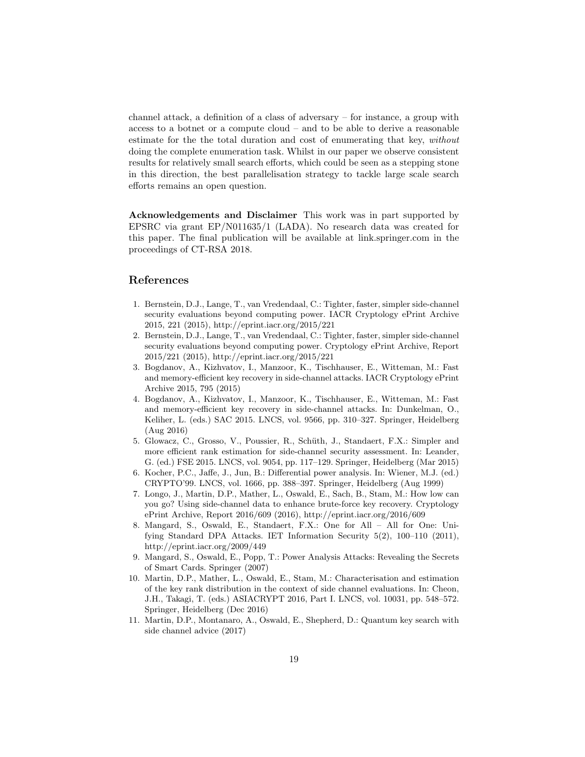channel attack, a definition of a class of adversary – for instance, a group with access to a botnet or a compute cloud – and to be able to derive a reasonable estimate for the the total duration and cost of enumerating that key, without doing the complete enumeration task. Whilst in our paper we observe consistent results for relatively small search efforts, which could be seen as a stepping stone in this direction, the best parallelisation strategy to tackle large scale search efforts remains an open question.

Acknowledgements and Disclaimer This work was in part supported by EPSRC via grant EP/N011635/1 (LADA). No research data was created for this paper. The final publication will be available at link.springer.com in the proceedings of CT-RSA 2018.

### References

- 1. Bernstein, D.J., Lange, T., van Vredendaal, C.: Tighter, faster, simpler side-channel security evaluations beyond computing power. IACR Cryptology ePrint Archive 2015, 221 (2015), http://eprint.iacr.org/2015/221
- 2. Bernstein, D.J., Lange, T., van Vredendaal, C.: Tighter, faster, simpler side-channel security evaluations beyond computing power. Cryptology ePrint Archive, Report 2015/221 (2015), http://eprint.iacr.org/2015/221
- 3. Bogdanov, A., Kizhvatov, I., Manzoor, K., Tischhauser, E., Witteman, M.: Fast and memory-efficient key recovery in side-channel attacks. IACR Cryptology ePrint Archive 2015, 795 (2015)
- 4. Bogdanov, A., Kizhvatov, I., Manzoor, K., Tischhauser, E., Witteman, M.: Fast and memory-efficient key recovery in side-channel attacks. In: Dunkelman, O., Keliher, L. (eds.) SAC 2015. LNCS, vol. 9566, pp. 310–327. Springer, Heidelberg (Aug 2016)
- 5. Glowacz, C., Grosso, V., Poussier, R., Schüth, J., Standaert, F.X.: Simpler and more efficient rank estimation for side-channel security assessment. In: Leander, G. (ed.) FSE 2015. LNCS, vol. 9054, pp. 117–129. Springer, Heidelberg (Mar 2015)
- 6. Kocher, P.C., Jaffe, J., Jun, B.: Differential power analysis. In: Wiener, M.J. (ed.) CRYPTO'99. LNCS, vol. 1666, pp. 388–397. Springer, Heidelberg (Aug 1999)
- 7. Longo, J., Martin, D.P., Mather, L., Oswald, E., Sach, B., Stam, M.: How low can you go? Using side-channel data to enhance brute-force key recovery. Cryptology ePrint Archive, Report 2016/609 (2016), http://eprint.iacr.org/2016/609
- 8. Mangard, S., Oswald, E., Standaert, F.X.: One for All All for One: Unifying Standard DPA Attacks. IET Information Security 5(2), 100–110 (2011), http://eprint.iacr.org/2009/449
- 9. Mangard, S., Oswald, E., Popp, T.: Power Analysis Attacks: Revealing the Secrets of Smart Cards. Springer (2007)
- 10. Martin, D.P., Mather, L., Oswald, E., Stam, M.: Characterisation and estimation of the key rank distribution in the context of side channel evaluations. In: Cheon, J.H., Takagi, T. (eds.) ASIACRYPT 2016, Part I. LNCS, vol. 10031, pp. 548–572. Springer, Heidelberg (Dec 2016)
- 11. Martin, D.P., Montanaro, A., Oswald, E., Shepherd, D.: Quantum key search with side channel advice (2017)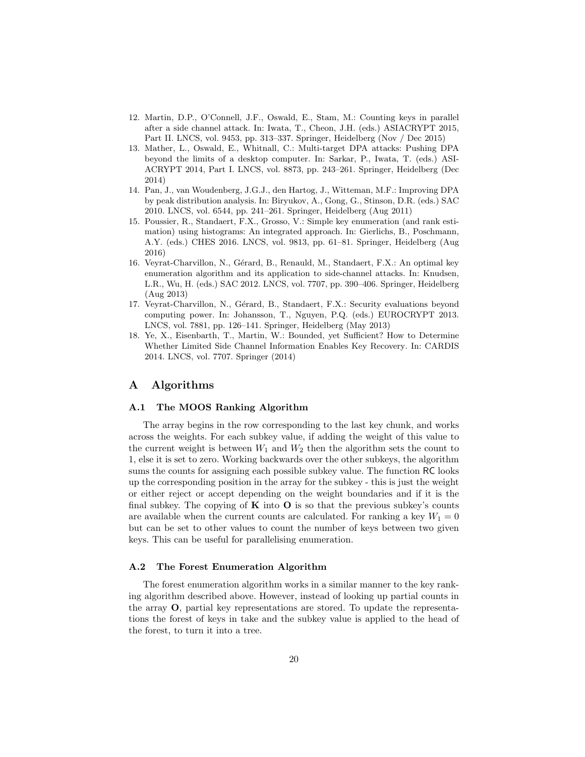- 12. Martin, D.P., O'Connell, J.F., Oswald, E., Stam, M.: Counting keys in parallel after a side channel attack. In: Iwata, T., Cheon, J.H. (eds.) ASIACRYPT 2015, Part II. LNCS, vol. 9453, pp. 313–337. Springer, Heidelberg (Nov / Dec 2015)
- 13. Mather, L., Oswald, E., Whitnall, C.: Multi-target DPA attacks: Pushing DPA beyond the limits of a desktop computer. In: Sarkar, P., Iwata, T. (eds.) ASI-ACRYPT 2014, Part I. LNCS, vol. 8873, pp. 243–261. Springer, Heidelberg (Dec 2014)
- 14. Pan, J., van Woudenberg, J.G.J., den Hartog, J., Witteman, M.F.: Improving DPA by peak distribution analysis. In: Biryukov, A., Gong, G., Stinson, D.R. (eds.) SAC 2010. LNCS, vol. 6544, pp. 241–261. Springer, Heidelberg (Aug 2011)
- 15. Poussier, R., Standaert, F.X., Grosso, V.: Simple key enumeration (and rank estimation) using histograms: An integrated approach. In: Gierlichs, B., Poschmann, A.Y. (eds.) CHES 2016. LNCS, vol. 9813, pp. 61–81. Springer, Heidelberg (Aug 2016)
- 16. Veyrat-Charvillon, N., Gérard, B., Renauld, M., Standaert, F.X.: An optimal key enumeration algorithm and its application to side-channel attacks. In: Knudsen, L.R., Wu, H. (eds.) SAC 2012. LNCS, vol. 7707, pp. 390–406. Springer, Heidelberg (Aug 2013)
- 17. Veyrat-Charvillon, N., Gérard, B., Standaert, F.X.: Security evaluations beyond computing power. In: Johansson, T., Nguyen, P.Q. (eds.) EUROCRYPT 2013. LNCS, vol. 7881, pp. 126–141. Springer, Heidelberg (May 2013)
- 18. Ye, X., Eisenbarth, T., Martin, W.: Bounded, yet Sufficient? How to Determine Whether Limited Side Channel Information Enables Key Recovery. In: CARDIS 2014. LNCS, vol. 7707. Springer (2014)

### A Algorithms

### A.1 The MOOS Ranking Algorithm

The array begins in the row corresponding to the last key chunk, and works across the weights. For each subkey value, if adding the weight of this value to the current weight is between  $W_1$  and  $W_2$  then the algorithm sets the count to 1, else it is set to zero. Working backwards over the other subkeys, the algorithm sums the counts for assigning each possible subkey value. The function RC looks up the corresponding position in the array for the subkey - this is just the weight or either reject or accept depending on the weight boundaries and if it is the final subkey. The copying of  $K$  into  $O$  is so that the previous subkey's counts are available when the current counts are calculated. For ranking a key  $W_1 = 0$ but can be set to other values to count the number of keys between two given keys. This can be useful for parallelising enumeration.

### A.2 The Forest Enumeration Algorithm

The forest enumeration algorithm works in a similar manner to the key ranking algorithm described above. However, instead of looking up partial counts in the array O, partial key representations are stored. To update the representations the forest of keys in take and the subkey value is applied to the head of the forest, to turn it into a tree.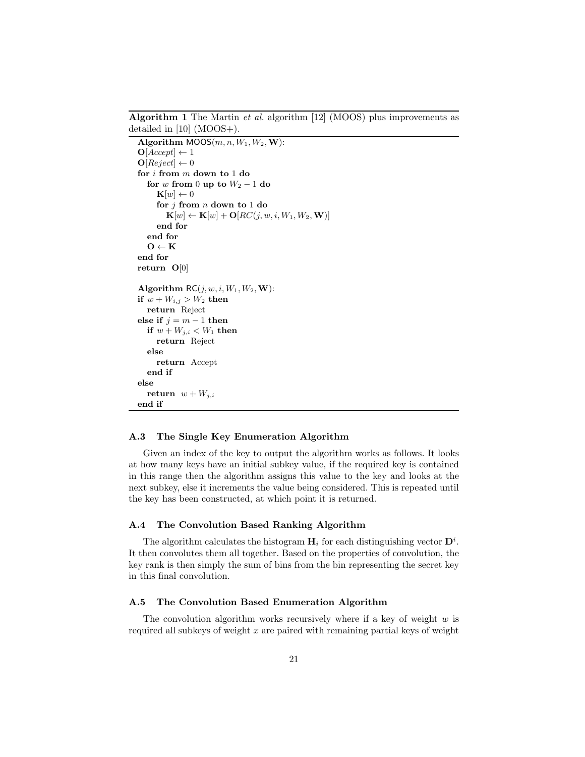Algorithm 1 The Martin et al. algorithm [12] (MOOS) plus improvements as detailed in [10] (MOOS+).

```
Algorithm MOOS(m, n, W_1, W_2, W):
O[Accept] \leftarrow 1O[Reject] \leftarrow 0for i from m down to 1 do
  for w from 0 up to W_2 - 1 do
     \mathbf{K}[w] \leftarrow 0for j from n down to 1 do
        \mathbf{K}[w] \leftarrow \mathbf{K}[w] + \mathbf{O}[RC(j, w, i, W_1, W_2, \mathbf{W})]end for
   end for
  O \leftarrow Kend for
return O[0]
Algorithm RC(j, w, i, W_1, W_2, W):
if w + W_{i,j} > W_2 then
  return Reject
else if j = m - 1 then
  if w + W_{j,i} < W_1 then
     return Reject
  else
     return Accept
   end if
else
  return w + W_{j,i}end if
```
### A.3 The Single Key Enumeration Algorithm

Given an index of the key to output the algorithm works as follows. It looks at how many keys have an initial subkey value, if the required key is contained in this range then the algorithm assigns this value to the key and looks at the next subkey, else it increments the value being considered. This is repeated until the key has been constructed, at which point it is returned.

### A.4 The Convolution Based Ranking Algorithm

The algorithm calculates the histogram  $H_i$  for each distinguishing vector  $D^i$ . It then convolutes them all together. Based on the properties of convolution, the key rank is then simply the sum of bins from the bin representing the secret key in this final convolution.

#### A.5 The Convolution Based Enumeration Algorithm

The convolution algorithm works recursively where if a key of weight  $w$  is required all subkeys of weight  $x$  are paired with remaining partial keys of weight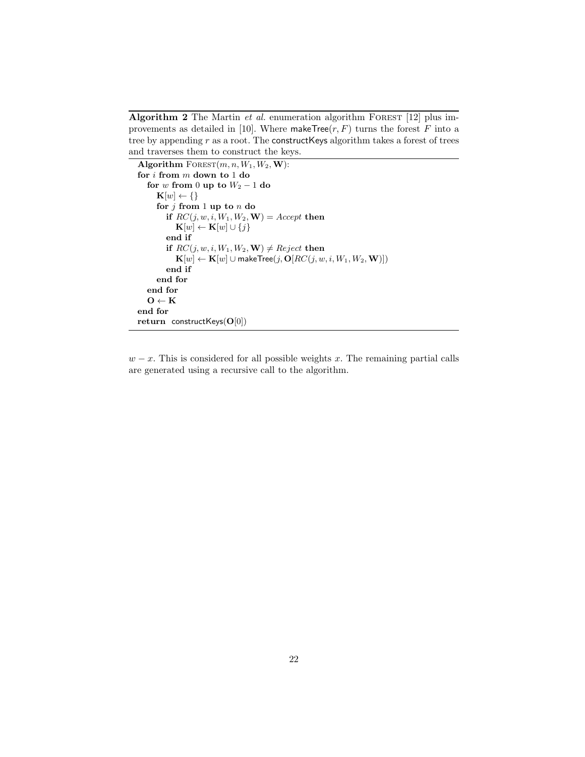Algorithm 2 The Martin et al. enumeration algorithm FOREST  $[12]$  plus improvements as detailed in [10]. Where makeTree( $r, F$ ) turns the forest F into a tree by appending  $r$  as a root. The construct Keys algorithm takes a forest of trees and traverses them to construct the keys.

```
Algorithm \text{FOREST}(m, n, W_1, W_2, \mathbf{W}):
for i from m down to 1 do \,for w from 0 up to W_2 - 1 do
      \mathbf{K}[w] \leftarrow \{\}for j from 1 up to n do
         if RC(j, w, i, W_1, W_2, W) = Accept then
            \mathbf{K}[w] \leftarrow \mathbf{K}[w] \cup \{j\}end if
         if RC(j, w, i, W_1, W_2, W) \neq Reject then
            \mathbf{K}[w] \leftarrow \mathbf{K}[w] \cup \text{makeTree}(j, \mathbf{O}[RC(j, w, i, W_1, W_2, \mathbf{W})])end if
      end for
   end for
   O \leftarrow Kend for
return constructKeys(O[0])
```
 $w - x$ . This is considered for all possible weights x. The remaining partial calls are generated using a recursive call to the algorithm.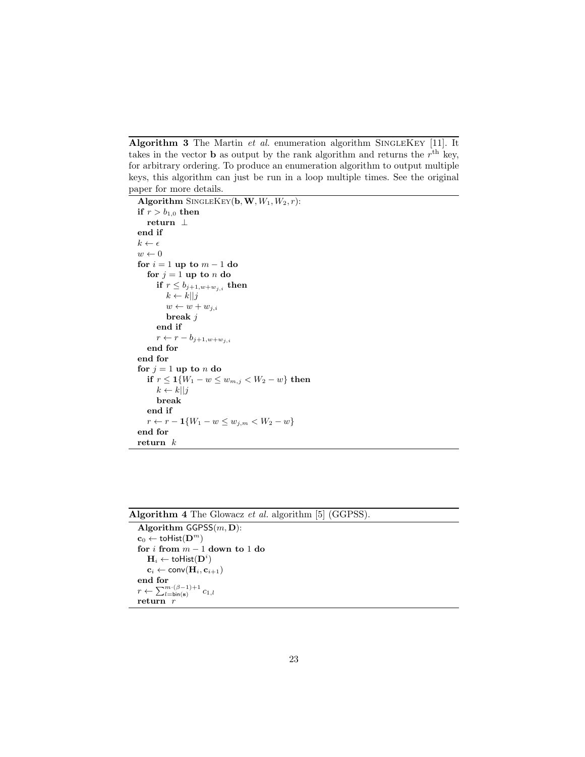Algorithm 3 The Martin et al. enumeration algorithm SINGLEKEY [11]. It takes in the vector **b** as output by the rank algorithm and returns the  $r<sup>th</sup>$  key, for arbitrary ordering. To produce an enumeration algorithm to output multiple keys, this algorithm can just be run in a loop multiple times. See the original paper for more details.

```
Algorithm \text{SINGLEKEY}(\mathbf{b}, \mathbf{W}, W_1, W_2, r):
if r > b_{1,0} then
   return ⊥
end if
k \leftarrow \epsilonw \leftarrow 0for i = 1 up to m - 1 do
   for j = 1 up to n do
      if r \leq b_{j+1,w+w_{j,i}} then
         k \leftarrow k||jw \leftarrow w + w_{j,i}breakjend if
      r \leftarrow r - b_{j+1,w+w_{j,i}}end for
end for
for j = 1 up to n do
   if r \le 1\{W_1 - w \le w_{m,j} < W_2 - w\} then
      k \leftarrow k||jbreak
   end if
   r \leftarrow r - 1\{W_1 - w \leq w_{j,m} < W_2 - w\}end for
return k
```
Algorithm 4 The Glowacz et al. algorithm [5] (GGPSS).

Algorithm  $GSPSS(m, D)$ :  $\mathbf{c}_0 \leftarrow \mathsf{toHist}(\mathbf{D}^m)$ for  $i$  from  $m-1$  down to  $1$  do  $\mathbf{H}_i \leftarrow \mathsf{toHist}(\mathbf{D}^i)$  $\mathbf{c}_i \leftarrow \mathsf{conv}(\mathbf{H}_i, \mathbf{c}_{i+1})$ end for  $r \leftarrow \sum_{l=\text{bin(s)}}^{m \cdot (\beta-1)+1} c_{1,l}$ return  $\sqrt{r}$